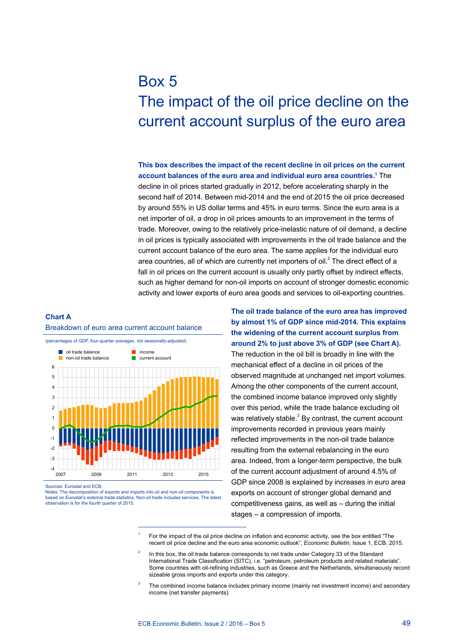# Box 5 The impact of the oil price decline on the current account surplus of the euro area

**This box describes the impact of the recent decline in oil prices on the current**  account balances of the euro area and individual euro area countries.<sup>1</sup> The

decline in oil prices started gradually in 2012, before accelerating sharply in the second half of 2014. Between mid-2014 and the end of 2015 the oil price decreased by around 55% in US dollar terms and 45% in euro terms. Since the euro area is a net importer of oil, a drop in oil prices amounts to an improvement in the terms of trade. Moreover, owing to the relatively price-inelastic nature of oil demand, a decline in oil prices is typically associated with improvements in the oil trade balance and the current account balance of the euro area. The same applies for the individual euro area countries, all of which are currently net importers of oil. $<sup>2</sup>$  The direct effect of a</sup> fall in oil prices on the current account is usually only partly offset by indirect effects, such as higher demand for non-oil imports on account of stronger domestic economic activity and lower exports of euro area goods and services to oil-exporting countries.

## **Chart a** Breakdown of euro area current account balance



Sources: Eurostat and ECB.

Notes: The decomposition of exports and imports into oil and non-oil components is based on Eurostat's external trade statistics. Non-oil trade includes services. The latest observation is for the fourth quarter of 2015.

**The oil trade balance of the euro area has improved by almost 1% of GDP since mid-2014. This explains the widening of the current account surplus from around 2% to just above 3% of GDP (see Chart A).** The reduction in the oil bill is broadly in line with the mechanical effect of a decline in oil prices of the observed magnitude at unchanged net import volumes. Among the other components of the current account, the combined income balance improved only slightly over this period, while the trade balance excluding oil was relatively stable. $3$  By contrast, the current account improvements recorded in previous years mainly reflected improvements in the non-oil trade balance resulting from the external rebalancing in the euro area. Indeed, from a longer-term perspective, the bulk of the current account adjustment of around 4.5% of GDP since 2008 is explained by increases in euro area exports on account of stronger global demand and competitiveness gains, as well as – during the initial stages – a compression of imports.

<sup>1</sup> For the impact of the oil price decline on inflation and economic activity, see the box entitled "The recent oil price decline and the euro area economic outlook", *Economic Bulletin*, Issue 1, ECB, 2015.

In this box, the oil trade balance corresponds to net trade under Category 33 of the Standard International Trade Classification (SITC), i.e. "petroleum, petroleum products and related materials". Some countries with oil-refining industries, such as Greece and the Netherlands, simultaneously record sizeable gross imports and exports under this category.

The combined income balance includes primary income (mainly net investment income) and secondary income (net transfer payments).